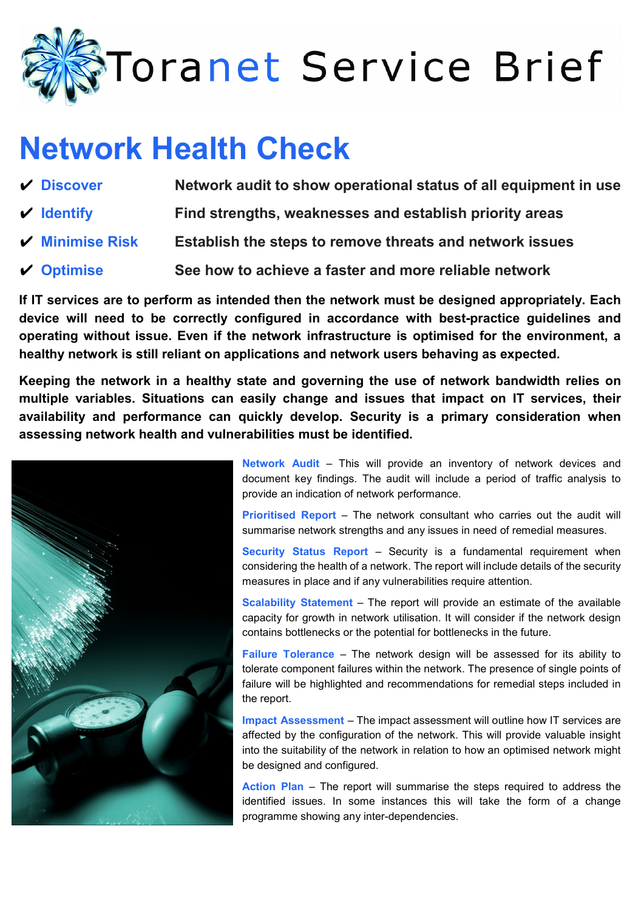

## **Network Health Check**

| $V$ Discover                            | Network audit to show operational status of all equipment in use |
|-----------------------------------------|------------------------------------------------------------------|
| $\vee$ Identify                         | Find strengths, weaknesses and establish priority areas          |
| $\boldsymbol{\checkmark}$ Minimise Risk | Establish the steps to remove threats and network issues         |
| $\vee$ Optimise                         | See how to achieve a faster and more reliable network            |

**If IT services are to perform as intended then the network must be designed appropriately. Each device will need to be correctly configured in accordance with best-practice guidelines and operating without issue. Even if the network infrastructure is optimised for the environment, a healthy network is still reliant on applications and network users behaving as expected.** 

**Keeping the network in a healthy state and governing the use of network bandwidth relies on multiple variables. Situations can easily change and issues that impact on IT services, their availability and performance can quickly develop. Security is a primary consideration when assessing network health and vulnerabilities must be identified.**



**Network Audit** – This will provide an inventory of network devices and document key findings. The audit will include a period of traffic analysis to provide an indication of network performance.

**Prioritised Report** – The network consultant who carries out the audit will summarise network strengths and any issues in need of remedial measures.

**Security Status Report** – Security is a fundamental requirement when considering the health of a network. The report will include details of the security measures in place and if any vulnerabilities require attention.

**Scalability Statement** – The report will provide an estimate of the available capacity for growth in network utilisation. It will consider if the network design contains bottlenecks or the potential for bottlenecks in the future.

**Failure Tolerance** – The network design will be assessed for its ability to tolerate component failures within the network. The presence of single points of failure will be highlighted and recommendations for remedial steps included in the report.

**Impact Assessment** – The impact assessment will outline how IT services are affected by the configuration of the network. This will provide valuable insight into the suitability of the network in relation to how an optimised network might be designed and configured.

**Action Plan** – The report will summarise the steps required to address the identified issues. In some instances this will take the form of a change programme showing any inter-dependencies.